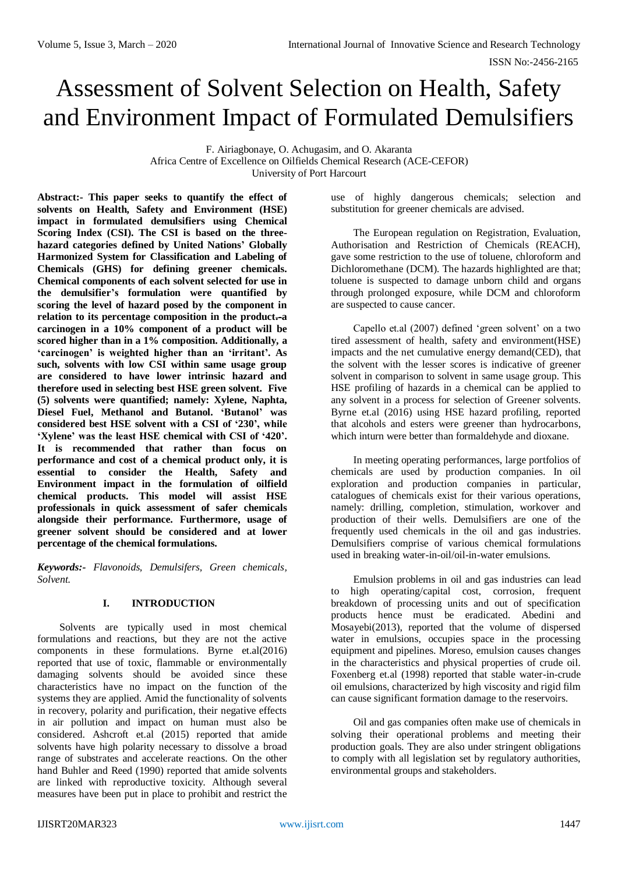# Assessment of Solvent Selection on Health, Safety and Environment Impact of Formulated Demulsifiers

F. Airiagbonaye, O. Achugasim, and O. Akaranta Africa Centre of Excellence on Oilfields Chemical Research (ACE-CEFOR) University of Port Harcourt

**Abstract:- This paper seeks to quantify the effect of solvents on Health, Safety and Environment (HSE) impact in formulated demulsifiers using Chemical Scoring Index (CSI). The CSI is based on the threehazard categories defined by United Nations' Globally Harmonized System for Classification and Labeling of Chemicals (GHS) for defining greener chemicals. Chemical components of each solvent selected for use in the demulsifier's formulation were quantified by scoring the level of hazard posed by the component in relation to its percentage composition in the product.-a carcinogen in a 10% component of a product will be scored higher than in a 1% composition. Additionally, a 'carcinogen' is weighted higher than an 'irritant'. As such, solvents with low CSI within same usage group are considered to have lower intrinsic hazard and therefore used in selecting best HSE green solvent. Five (5) solvents were quantified; namely: Xylene, Naphta, Diesel Fuel, Methanol and Butanol. 'Butanol' was considered best HSE solvent with a CSI of '230', while 'Xylene' was the least HSE chemical with CSI of '420'. It is recommended that rather than focus on performance and cost of a chemical product only, it is essential to consider the Health, Safety and Environment impact in the formulation of oilfield chemical products. This model will assist HSE professionals in quick assessment of safer chemicals alongside their performance. Furthermore, usage of greener solvent should be considered and at lower percentage of the chemical formulations.**

*Keywords:- Flavonoids, Demulsifers, Green chemicals, Solvent.*

#### **I. INTRODUCTION**

Solvents are typically used in most chemical formulations and reactions, but they are not the active components in these formulations. Byrne et.al(2016) reported that use of toxic, flammable or environmentally damaging solvents should be avoided since these characteristics have no impact on the function of the systems they are applied. Amid the functionality of solvents in recovery, polarity and purification, their negative effects in air pollution and impact on human must also be considered. Ashcroft et.al (2015) reported that amide solvents have high polarity necessary to dissolve a broad range of substrates and accelerate reactions. On the other hand Buhler and Reed (1990) reported that amide solvents are linked with reproductive toxicity. Although several measures have been put in place to prohibit and restrict the

use of highly dangerous chemicals; selection and substitution for greener chemicals are advised.

The European regulation on Registration, Evaluation, Authorisation and Restriction of Chemicals (REACH), gave some restriction to the use of toluene, chloroform and Dichloromethane (DCM). The hazards highlighted are that; toluene is suspected to damage unborn child and organs through prolonged exposure, while DCM and chloroform are suspected to cause cancer.

Capello et.al (2007) defined 'green solvent' on a two tired assessment of health, safety and environment(HSE) impacts and the net cumulative energy demand(CED), that the solvent with the lesser scores is indicative of greener solvent in comparison to solvent in same usage group. This HSE profiling of hazards in a chemical can be applied to any solvent in a process for selection of Greener solvents. Byrne et.al (2016) using HSE hazard profiling, reported that alcohols and esters were greener than hydrocarbons, which inturn were better than formaldehyde and dioxane.

In meeting operating performances, large portfolios of chemicals are used by production companies. In oil exploration and production companies in particular, catalogues of chemicals exist for their various operations, namely: drilling, completion, stimulation, workover and production of their wells. Demulsifiers are one of the frequently used chemicals in the oil and gas industries. Demulsifiers comprise of various chemical formulations used in breaking water-in-oil/oil-in-water emulsions.

Emulsion problems in oil and gas industries can lead to high operating/capital cost, corrosion, frequent breakdown of processing units and out of specification products hence must be eradicated. Abedini and Mosayebi(2013), reported that the volume of dispersed water in emulsions, occupies space in the processing equipment and pipelines. Moreso, emulsion causes changes in the characteristics and physical properties of crude oil. Foxenberg et.al (1998) reported that stable water-in-crude oil emulsions, characterized by high viscosity and rigid film can cause significant formation damage to the reservoirs.

Oil and gas companies often make use of chemicals in solving their operational problems and meeting their production goals. They are also under stringent obligations to comply with all legislation set by regulatory authorities, environmental groups and stakeholders.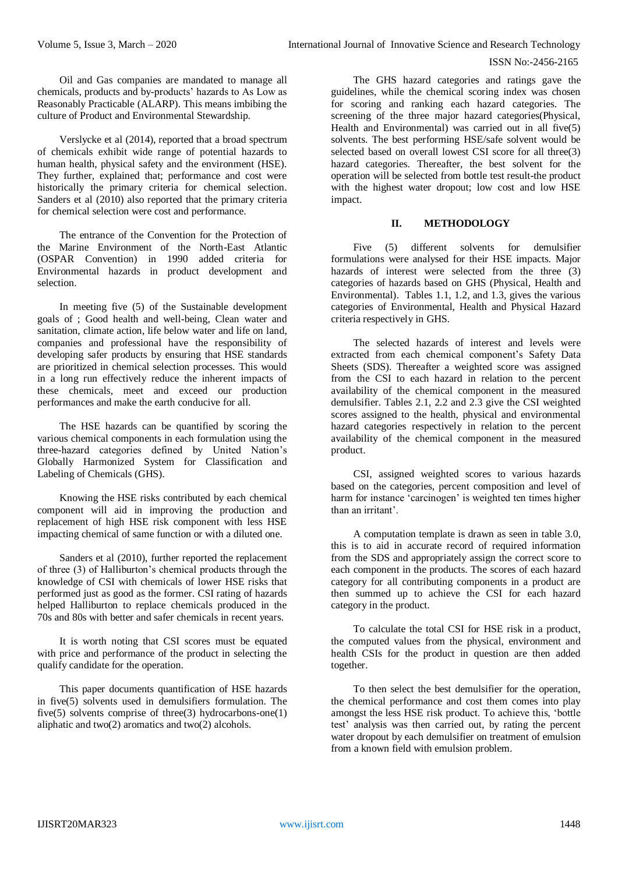Oil and Gas companies are mandated to manage all chemicals, products and by-products' hazards to As Low as Reasonably Practicable (ALARP). This means imbibing the culture of Product and Environmental Stewardship.

Verslycke et al (2014), reported that a broad spectrum of chemicals exhibit wide range of potential hazards to human health, physical safety and the environment (HSE). They further, explained that; performance and cost were historically the primary criteria for chemical selection. Sanders et al (2010) also reported that the primary criteria for chemical selection were cost and performance.

The entrance of the Convention for the Protection of the Marine Environment of the North-East Atlantic (OSPAR Convention) in 1990 added criteria for Environmental hazards in product development and selection.

In meeting five (5) of the Sustainable development goals of ; Good health and well-being, Clean water and sanitation, climate action, life below water and life on land, companies and professional have the responsibility of developing safer products by ensuring that HSE standards are prioritized in chemical selection processes. This would in a long run effectively reduce the inherent impacts of these chemicals, meet and exceed our production performances and make the earth conducive for all.

The HSE hazards can be quantified by scoring the various chemical components in each formulation using the three-hazard categories defined by United Nation's Globally Harmonized System for Classification and Labeling of Chemicals (GHS).

Knowing the HSE risks contributed by each chemical component will aid in improving the production and replacement of high HSE risk component with less HSE impacting chemical of same function or with a diluted one.

Sanders et al (2010), further reported the replacement of three (3) of Halliburton's chemical products through the knowledge of CSI with chemicals of lower HSE risks that performed just as good as the former. CSI rating of hazards helped Halliburton to replace chemicals produced in the 70s and 80s with better and safer chemicals in recent years.

It is worth noting that CSI scores must be equated with price and performance of the product in selecting the qualify candidate for the operation.

This paper documents quantification of HSE hazards in five(5) solvents used in demulsifiers formulation. The five(5) solvents comprise of three(3) hydrocarbons-one(1) aliphatic and two(2) aromatics and two(2) alcohols.

The GHS hazard categories and ratings gave the guidelines, while the chemical scoring index was chosen for scoring and ranking each hazard categories. The screening of the three major hazard categories(Physical, Health and Environmental) was carried out in all five(5) solvents. The best performing HSE/safe solvent would be selected based on overall lowest CSI score for all three(3) hazard categories. Thereafter, the best solvent for the operation will be selected from bottle test result-the product with the highest water dropout; low cost and low HSE impact.

#### **II. METHODOLOGY**

Five (5) different solvents for demulsifier formulations were analysed for their HSE impacts. Major hazards of interest were selected from the three (3) categories of hazards based on GHS (Physical, Health and Environmental). Tables 1.1, 1.2, and 1.3, gives the various categories of Environmental, Health and Physical Hazard criteria respectively in GHS.

The selected hazards of interest and levels were extracted from each chemical component's Safety Data Sheets (SDS). Thereafter a weighted score was assigned from the CSI to each hazard in relation to the percent availability of the chemical component in the measured demulsifier. Tables 2.1, 2.2 and 2.3 give the CSI weighted scores assigned to the health, physical and environmental hazard categories respectively in relation to the percent availability of the chemical component in the measured product.

CSI, assigned weighted scores to various hazards based on the categories, percent composition and level of harm for instance 'carcinogen' is weighted ten times higher than an irritant'.

A computation template is drawn as seen in table 3.0, this is to aid in accurate record of required information from the SDS and appropriately assign the correct score to each component in the products. The scores of each hazard category for all contributing components in a product are then summed up to achieve the CSI for each hazard category in the product.

To calculate the total CSI for HSE risk in a product, the computed values from the physical, environment and health CSIs for the product in question are then added together.

To then select the best demulsifier for the operation, the chemical performance and cost them comes into play amongst the less HSE risk product. To achieve this, 'bottle test' analysis was then carried out, by rating the percent water dropout by each demulsifier on treatment of emulsion from a known field with emulsion problem.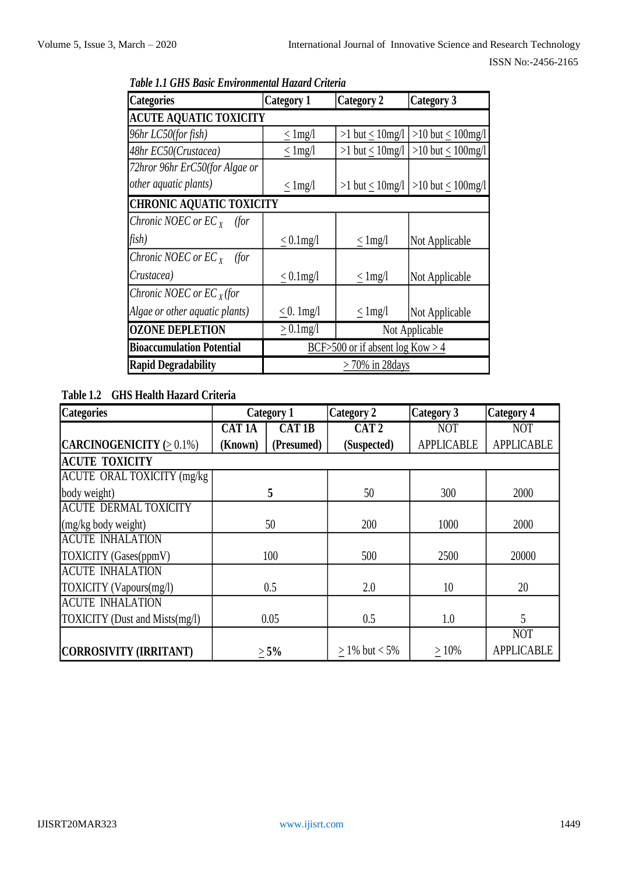| <b>Categories</b>                | <b>Category 1</b> | <b>Category 2</b>                  | <b>Category 3</b>                      |  |  |
|----------------------------------|-------------------|------------------------------------|----------------------------------------|--|--|
| <b>ACUTE AQUATIC TOXICITY</b>    |                   |                                    |                                        |  |  |
| 96hr LC50(for fish)              | $<$ 1 mg/l        | $>1$ but < $10$ mg/l               | >10 but $\leq 100$ mg/l                |  |  |
| 48hr EC50(Crustacea)             | $\leq$ 1 mg/l     | >1 but $\leq 10$ mg/l              | >10 but $\leq 100$ mg/l                |  |  |
| 72hror 96hr ErC50(for Algae or   |                   |                                    |                                        |  |  |
| <i>other aquatic plants)</i>     | $\leq$ 1 mg/l     |                                    | $>1$ but < 10mg/l $ >10$ but < 100mg/l |  |  |
| <b>CHRONIC AQUATIC TOXICITY</b>  |                   |                                    |                                        |  |  |
| Chronic NOEC or $EC_{X}$ (for    |                   |                                    |                                        |  |  |
| fish)                            | $< 0.1$ mg/l      | $\leq$ 1 mg/l                      | Not Applicable                         |  |  |
| Chronic NOEC or $EC_{X}$ (for    |                   |                                    |                                        |  |  |
| Crustacea)                       | $\leq 0.1$ mg/l   | $\leq$ 1 mg/l                      | Not Applicable                         |  |  |
| Chronic NOEC or $ECx$ (for       |                   |                                    |                                        |  |  |
| Algae or other aquatic plants)   | $\leq$ 0. 1mg/l   | $\leq$ 1 mg/l                      | Not Applicable                         |  |  |
| <b>OZONE DEPLETION</b>           | $> 0.1$ mg/l      |                                    | Not Applicable                         |  |  |
| <b>Bioaccumulation Potential</b> |                   | BCF>500 or if absent $log Kow > 4$ |                                        |  |  |
| <b>Rapid Degradability</b>       |                   | $>70\%$ in 28 days                 |                                        |  |  |

*Table 1.1 GHS Basic Environmental Hazard Criteria*

# **Table 1.2 GHS Health Hazard Criteria**

| <b>Categories</b>                  |               | <b>Category 1</b> | <b>Category 2</b> | <b>Category 3</b> | <b>Category 4</b> |
|------------------------------------|---------------|-------------------|-------------------|-------------------|-------------------|
|                                    | <b>CAT 1A</b> | CAT1B             | CAT <sub>2</sub>  | <b>NOT</b>        | <b>NOT</b>        |
| CARCINOGENICITY (> 0.1%)           | (Known)       | (Presumed)        | (Suspected)       | <b>APPLICABLE</b> | <b>APPLICABLE</b> |
| <b>ACUTE TOXICITY</b>              |               |                   |                   |                   |                   |
| <b>ACUTE ORAL TOXICITY (mg/kg)</b> |               |                   |                   |                   |                   |
| body weight)                       |               | 5                 | 50                | 300               | 2000              |
| <b>ACUTE DERMAL TOXICITY</b>       |               |                   |                   |                   |                   |
| $\log$ kg body weight)             |               | 50                | 200               | 1000              | 2000              |
| <b>ACUTE INHALATION</b>            |               |                   |                   |                   |                   |
| TOXICITY (Gases(ppmV)              |               | 100               | 500               | 2500              | 20000             |
| <b>ACUTE INHALATION</b>            |               |                   |                   |                   |                   |
| TOXICITY (Vapours(mg/l)            |               | 0.5               | 2.0               | 10                | 20                |
| <b>ACUTE INHALATION</b>            |               |                   |                   |                   |                   |
| TOXICITY (Dust and Mists(mg/l)     |               | 0.05              | 0.5               | 1.0               | 5                 |
|                                    |               |                   |                   |                   | <b>NOT</b>        |
| CORROSIVITY (IRRITANT)             |               | $> 5\%$           | $> 1\%$ but < 5%  | $>10\%$           | <b>APPLICABLE</b> |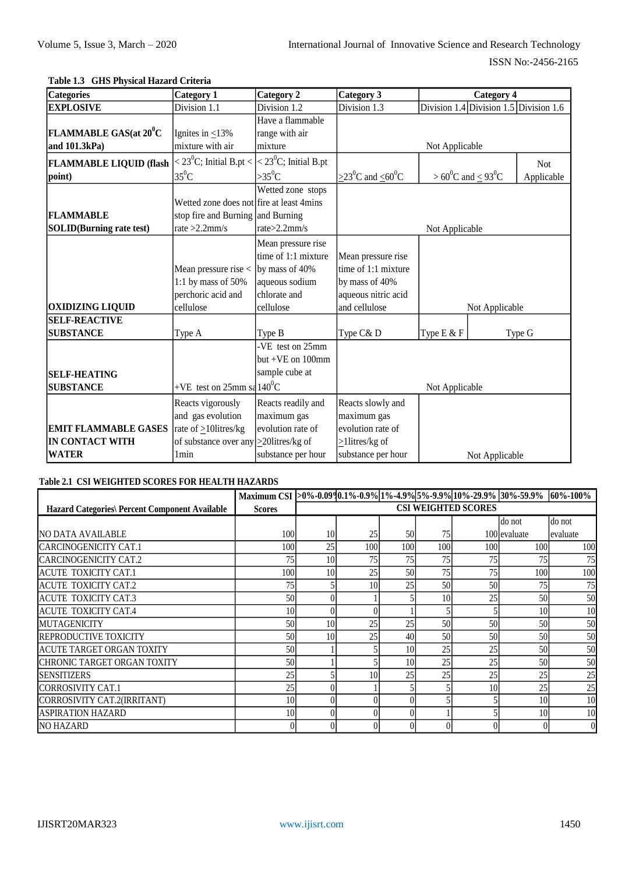# **Table 1.3 GHS Physical Hazard Criteria**

| <b>Categories</b>                | <b>Category 1</b>                           | <b>Category 2</b>                   | Category 3                                            | <b>Category 4</b>                      |            |
|----------------------------------|---------------------------------------------|-------------------------------------|-------------------------------------------------------|----------------------------------------|------------|
| <b>EXPLOSIVE</b>                 | Division 1.1                                | Division 1.2                        | Division 1.3                                          | Division 1.4 Division 1.5 Division 1.6 |            |
|                                  |                                             | Have a flammable                    |                                                       |                                        |            |
| FLAMMABLE GAS(at $20^0$ C        | Ignites in $\leq$ 13%                       | range with air                      |                                                       |                                        |            |
| and 101.3kPa)                    | mixture with air                            | mixture                             |                                                       | Not Applicable                         |            |
| <b>FLAMMABLE LIQUID (flash</b>   | $<$ 23 <sup>0</sup> C; Initial B.pt $<$     | $<$ 23 <sup>0</sup> C; Initial B.pt |                                                       |                                        | <b>Not</b> |
| point)                           | $35^0C$                                     | $>35^0C$                            | $\geq$ 23 <sup>0</sup> C and $\leq$ 60 <sup>0</sup> C | $> 60^0C$ and $< 93^0C$                | Applicable |
|                                  |                                             | Wetted zone stops                   |                                                       |                                        |            |
|                                  | Wetted zone does not fire at least 4mins    |                                     |                                                       |                                        |            |
| <b>FLAMMABLE</b>                 | stop fire and Burning and Burning           |                                     |                                                       |                                        |            |
| <b>SOLID</b> (Burning rate test) | rate $>2.2$ mm/s                            | rate > 2.2mm/s                      |                                                       | Not Applicable                         |            |
|                                  |                                             | Mean pressure rise                  |                                                       |                                        |            |
|                                  |                                             | time of 1:1 mixture                 | Mean pressure rise                                    |                                        |            |
|                                  | Mean pressure rise <                        | by mass of 40%                      | time of 1:1 mixture                                   |                                        |            |
|                                  | 1:1 by mass of $50\%$                       | aqueous sodium                      | by mass of 40%                                        |                                        |            |
|                                  | perchoric acid and                          | chlorate and                        | aqueous nitric acid                                   |                                        |            |
| <b>OXIDIZING LIQUID</b>          | cellulose                                   | cellulose                           | and cellulose                                         | Not Applicable                         |            |
| <b>SELF-REACTIVE</b>             |                                             |                                     |                                                       |                                        |            |
| <b>SUBSTANCE</b>                 | Type A                                      | Type B                              | Type C& D                                             | Type E & F                             | Type G     |
|                                  |                                             | -VE test on 25mm                    |                                                       |                                        |            |
|                                  |                                             | but $+VE$ on 100mm                  |                                                       |                                        |            |
| <b>SELF-HEATING</b>              |                                             | sample cube at                      |                                                       |                                        |            |
| <b>SUBSTANCE</b>                 | +VE test on $25$ mm sa $140^0$ C            |                                     |                                                       | Not Applicable                         |            |
|                                  | Reacts vigorously                           | Reacts readily and                  | Reacts slowly and                                     |                                        |            |
|                                  | and gas evolution                           | maximum gas                         | maximum gas                                           |                                        |            |
| <b>EMIT FLAMMABLE GASES</b>      | rate of $\geq$ 10litres/kg                  | evolution rate of                   | evolution rate of                                     |                                        |            |
| <b>IN CONTACT WITH</b>           | of substance over any $\geq$ 201itres/kg of |                                     | $\geq$ 1 litres/kg of                                 |                                        |            |
| <b>WATER</b>                     | 1 <sub>min</sub>                            | substance per hour                  | substance per hour                                    | Not Applicable                         |            |

### **Table 2.1 CSI WEIGHTED SCORES FOR HEALTH HAZARDS**

|                                                       | Maximum CSI >0%-0.0990.1%-0.9% 1%-4.9% 5%-9.9% 10%-29.9% 30%-59.9% |                 |     |     |                 |                            |               | $160\% - 100\%$ |
|-------------------------------------------------------|--------------------------------------------------------------------|-----------------|-----|-----|-----------------|----------------------------|---------------|-----------------|
| <b>Hazard Categories\ Percent Component Available</b> | <b>Scores</b>                                                      |                 |     |     |                 | <b>CSI WEIGHTED SCORES</b> |               |                 |
|                                                       |                                                                    |                 |     |     |                 |                            | do not        | do not          |
| <b>NO DATA AVAILABLE</b>                              | 100                                                                | 10              | 25  | 50  | 75              |                            | 100 levaluate | evaluate        |
| <b>CARCINOGENICITY CAT.1</b>                          | 100                                                                | 25              | 100 | 100 | 100             | 100 <sup>I</sup>           | 100           | <b>100</b>      |
| CARCINOGENICITY CAT.2                                 | 75                                                                 | 10              | 75  | 75  | 75              | 75                         | 75            | 75              |
| ACUTE TOXICITY CAT.1                                  | 100                                                                | 10              | 25  | 50  | 75              | 75                         | 100           | 100             |
| <b>ACUTE TOXICITY CAT.2</b>                           | 75                                                                 |                 | 10  | 25  | 50              | 50                         | 75            | 75              |
| <b>ACUTE TOXICITY CAT.3</b>                           | 50                                                                 |                 |     |     | 10 <sup>1</sup> | 25                         | 50            | 50              |
| <b>ACUTE TOXICITY CAT.4</b>                           | 10                                                                 |                 |     |     |                 |                            | 10            | 10              |
| <b>MUTAGENICITY</b>                                   | 50                                                                 | 10 <sup>1</sup> | 25  | 25  | 50              | 50                         | 50            | 50              |
| <b>REPRODUCTIVE TOXICITY</b>                          | 50                                                                 | 10              | 25  | 40  | 50              | 50                         | 50            | 50              |
| IACUTE TARGET ORGAN TOXITY                            | 50                                                                 |                 |     | 10  | 25              | 25                         | 50            | 50              |
| ICHRONIC TARGET ORGAN TOXITY                          | 50                                                                 |                 |     | 10  | 25              | 25                         | 50            | 50              |
| <b>SENSITIZERS</b>                                    | 25                                                                 |                 | 10  | 25  | 25              | 25                         | 25            | 25              |
| CORROSIVITY CAT.1                                     | 25                                                                 |                 |     |     |                 | 10                         | 25            | 25              |
| CORROSIVITY CAT.2(IRRITANT)                           | 10                                                                 |                 |     |     |                 |                            | 10            | 10              |
| <b>ASPIRATION HAZARD</b>                              | 10                                                                 |                 |     |     |                 |                            | 10            | 10              |
| <b>NO HAZARD</b>                                      |                                                                    |                 |     |     |                 |                            |               | $\overline{0}$  |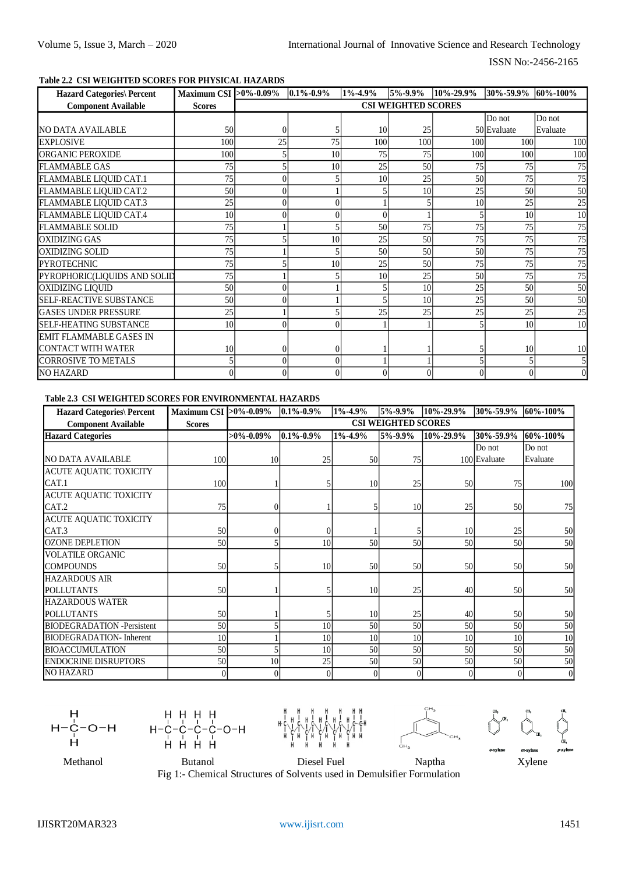# **Table 2.2 CSI WEIGHTED SCORES FOR PHYSICAL HAZARDS**

| <b>Hazard Categories\ Percent</b> | Maximum CSI > 0%-0.09% |    | $0.1\% - 0.9\%$ | $1\% - 4.9\%$ | 5%-9.9%                    | 10%-29.9% | 30\%-59.9\% 60\%-100\% |          |
|-----------------------------------|------------------------|----|-----------------|---------------|----------------------------|-----------|------------------------|----------|
| <b>Component Available</b>        | <b>Scores</b>          |    |                 |               | <b>CSI WEIGHTED SCORES</b> |           |                        |          |
|                                   |                        |    |                 |               |                            |           | Do not                 | Do not   |
| NO DATA AVAILABLE                 | 50                     |    |                 | 10            | 25                         |           | 50 Evaluate            | Evaluate |
| <b>EXPLOSIVE</b>                  | 100                    | 25 | 75              | 100           | 100                        | 100       | 100                    | 100      |
| <b>ORGANIC PEROXIDE</b>           | 100                    |    | 10              | 75            | 75                         | 100       | 100                    | 100      |
| <b>FLAMMABLE GAS</b>              | 75                     |    | 10              | 25            | 50                         | 75        | 75                     | 75       |
| FLAMMABLE LIQUID CAT.1            | 75                     |    |                 | 10            | 25                         | 50        | 75                     | 75       |
| FLAMMABLE LIQUID CAT.2            | 50 <sup>1</sup>        |    |                 |               | 10                         | 25        | 50                     | 50       |
| FLAMMABLE LIQUID CAT.3            | 25                     |    |                 |               |                            | 10        | 25                     | 25       |
| FLAMMABLE LIQUID CAT.4            | 10 <sup>1</sup>        |    |                 |               |                            |           | 10                     | 10       |
| <b>FLAMMABLE SOLID</b>            | 75                     |    |                 | 50            | 75                         | 75        | 75                     | 75       |
| <b>OXIDIZING GAS</b>              | 75                     |    | 10              | 25            | 50                         | 75        | 75                     | 75       |
| <b>OXIDIZING SOLID</b>            | 75                     |    |                 | 50            | 50                         | 50        | 75                     | 75       |
| <b>PYROTECHNIC</b>                | 75                     |    | 10              | 25            | 50                         | 75        | 75                     | 75       |
| PYROPHORIC(LIQUIDS AND SOLID      | 75                     |    |                 | 10            | 25                         | 50        | 75                     | 75       |
| <b>OXIDIZING LIQUID</b>           | 50 <sup>1</sup>        |    |                 |               | 10                         | 25        | 50                     | 50       |
| <b>SELF-REACTIVE SUBSTANCE</b>    | 50                     |    |                 |               | 10                         | 25        | 50                     | 50       |
| <b>IGASES UNDER PRESSURE</b>      | 25                     |    |                 | 25            | 25                         | 25        | 25                     | 25       |
| <b>ISELF-HEATING SUBSTANCE</b>    | 10 <sup>1</sup>        |    |                 |               |                            |           | 10                     | 10       |
| EMIT FLAMMABLE GASES IN           |                        |    |                 |               |                            |           |                        |          |
| ICONTACT WITH WATER               | 10                     |    |                 |               |                            |           | 10                     | 10       |
| <b>CORROSIVE TO METALS</b>        |                        |    |                 |               |                            |           |                        |          |
| <b>NO HAZARD</b>                  |                        |    |                 |               |                            |           |                        |          |

#### **Table 2.3 CSI WEIGHTED SCORES FOR ENVIRONMENTAL HAZARDS**

| <b>Hazard Categories\ Percent</b>  | Maximum CSI > 0%-0.09% |                 | $0.1\% - 0.9\%$ | $1\% - 4.9\%$ | 5%-9.9%                    | 10%-29.9%      | 30%-59.9%    | 60%-100%       |
|------------------------------------|------------------------|-----------------|-----------------|---------------|----------------------------|----------------|--------------|----------------|
| <b>Component Available</b>         | <b>Scores</b>          |                 |                 |               | <b>CSI WEIGHTED SCORES</b> |                |              |                |
| <b>Hazard Categories</b>           |                        | $>0\% - 0.09\%$ | $0.1\% - 0.9\%$ | $1\% - 4.9\%$ | 5%-9.9%                    | 10%-29.9%      | 30%-59.9%    | 60%-100%       |
|                                    |                        |                 |                 |               |                            |                | Do not       | Do not         |
| <b>NO DATA AVAILABLE</b>           | 100                    | 10              | 25              | 50            | 75                         |                | 100 Evaluate | Evaluate       |
| <b>ACUTE AQUATIC TOXICITY</b>      |                        |                 |                 |               |                            |                |              |                |
| CAT.1                              | 100                    |                 |                 | 10            | 25                         | 50             | 75           | 100            |
| <b>ACUTE AQUATIC TOXICITY</b>      |                        |                 |                 |               |                            |                |              |                |
| CAT.2                              | 75                     |                 |                 |               | 10                         | 25             | 50           | 75             |
| <b>ACUTE AQUATIC TOXICITY</b>      |                        |                 |                 |               |                            |                |              |                |
| CAT.3                              | 50                     |                 |                 |               |                            | 10             | 25           | 50             |
| <b>OZONE DEPLETION</b>             | 50                     |                 | 10              | 50            | 50                         | 50             | 50           | 50             |
| <b>VOLATILE ORGANIC</b>            |                        |                 |                 |               |                            |                |              |                |
| <b>COMPOUNDS</b>                   | 50                     |                 | 10              | 50            | 50                         | 50             | 50           | 50             |
| <b>HAZARDOUS AIR</b>               |                        |                 |                 |               |                            |                |              |                |
| <b>POLLUTANTS</b>                  | 50                     |                 |                 | 10            | 25                         | 40             | 50           | 50             |
| <b>HAZARDOUS WATER</b>             |                        |                 |                 |               |                            |                |              |                |
| <b>POLLUTANTS</b>                  | 50                     |                 |                 | 10            | 25                         | 40             | 50           | 50             |
| <b>BIODEGRADATION</b> - Persistent | 50                     |                 | 10 <sup>1</sup> | 50            | 50                         | 50             | 50           | 50             |
| <b>BIODEGRADATION-</b> Inherent    | 10 <sup>1</sup>        |                 | 10 <sup>1</sup> | 10            | 10                         | 10             | 10           | 10             |
| <b>BIOACCUMULATION</b>             | 50                     |                 | 10 <sup>1</sup> | 50            | 50                         | 50             | 50           | 50             |
| <b>ENDOCRINE DISRUPTORS</b>        | 50                     | 10              | 25              | 50            | 50                         | 50             | 50           | 50             |
| <b>NO HAZARD</b>                   | $\Omega$               |                 | $\Omega$        |               |                            | $\overline{0}$ | 0            | $\overline{0}$ |

 $O-H$  $H<sub>1</sub>$ 









 $H_1$  $H$ н

Methanol Butanol Diesel Fuel Naptha Xylene Fig 1:- Chemical Structures of Solvents used in Demulsifier Formulation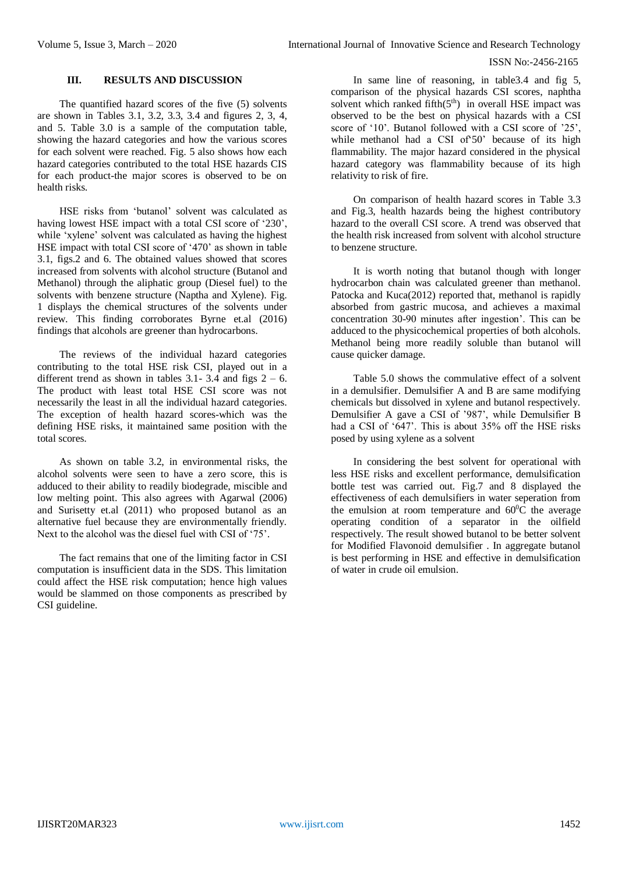### **III. RESULTS AND DISCUSSION**

The quantified hazard scores of the five (5) solvents are shown in Tables 3.1, 3.2, 3.3, 3.4 and figures 2, 3, 4, and 5. Table 3.0 is a sample of the computation table, showing the hazard categories and how the various scores for each solvent were reached. Fig. 5 also shows how each hazard categories contributed to the total HSE hazards CIS for each product-the major scores is observed to be on health risks.

HSE risks from 'butanol' solvent was calculated as having lowest HSE impact with a total CSI score of '230', while 'xylene' solvent was calculated as having the highest HSE impact with total CSI score of '470' as shown in table 3.1, figs.2 and 6. The obtained values showed that scores increased from solvents with alcohol structure (Butanol and Methanol) through the aliphatic group (Diesel fuel) to the solvents with benzene structure (Naptha and Xylene). Fig. 1 displays the chemical structures of the solvents under review. This finding corroborates Byrne et.al (2016) findings that alcohols are greener than hydrocarbons.

The reviews of the individual hazard categories contributing to the total HSE risk CSI, played out in a different trend as shown in tables 3.1- 3.4 and figs  $2 - 6$ . The product with least total HSE CSI score was not necessarily the least in all the individual hazard categories. The exception of health hazard scores-which was the defining HSE risks, it maintained same position with the total scores.

As shown on table 3.2, in environmental risks, the alcohol solvents were seen to have a zero score, this is adduced to their ability to readily biodegrade, miscible and low melting point. This also agrees with Agarwal (2006) and Surisetty et.al (2011) who proposed butanol as an alternative fuel because they are environmentally friendly. Next to the alcohol was the diesel fuel with CSI of '75'.

The fact remains that one of the limiting factor in CSI computation is insufficient data in the SDS. This limitation could affect the HSE risk computation; hence high values would be slammed on those components as prescribed by CSI guideline.

In same line of reasoning, in table3.4 and fig 5, comparison of the physical hazards CSI scores, naphtha solvent which ranked fifth(5<sup>th</sup>) in overall HSE impact was observed to be the best on physical hazards with a CSI score of '10'. Butanol followed with a CSI score of '25', while methanol had a CSI of'50' because of its high flammability. The major hazard considered in the physical hazard category was flammability because of its high relativity to risk of fire.

On comparison of health hazard scores in Table 3.3 and Fig.3, health hazards being the highest contributory hazard to the overall CSI score. A trend was observed that the health risk increased from solvent with alcohol structure to benzene structure.

It is worth noting that butanol though with longer hydrocarbon chain was calculated greener than methanol. Patocka and Kuca(2012) reported that, methanol is rapidly absorbed from gastric mucosa, and achieves a maximal concentration 30-90 minutes after ingestion'. This can be adduced to the physicochemical properties of both alcohols. Methanol being more readily soluble than butanol will cause quicker damage.

Table 5.0 shows the commulative effect of a solvent in a demulsifier. Demulsifier A and B are same modifying chemicals but dissolved in xylene and butanol respectively. Demulsifier A gave a CSI of '987', while Demulsifier B had a CSI of '647'. This is about 35% off the HSE risks posed by using xylene as a solvent

In considering the best solvent for operational with less HSE risks and excellent performance, demulsification bottle test was carried out. Fig.7 and 8 displayed the effectiveness of each demulsifiers in water seperation from the emulsion at room temperature and  $60^{\circ}$ C the average operating condition of a separator in the oilfield respectively. The result showed butanol to be better solvent for Modified Flavonoid demulsifier . In aggregate butanol is best performing in HSE and effective in demulsification of water in crude oil emulsion.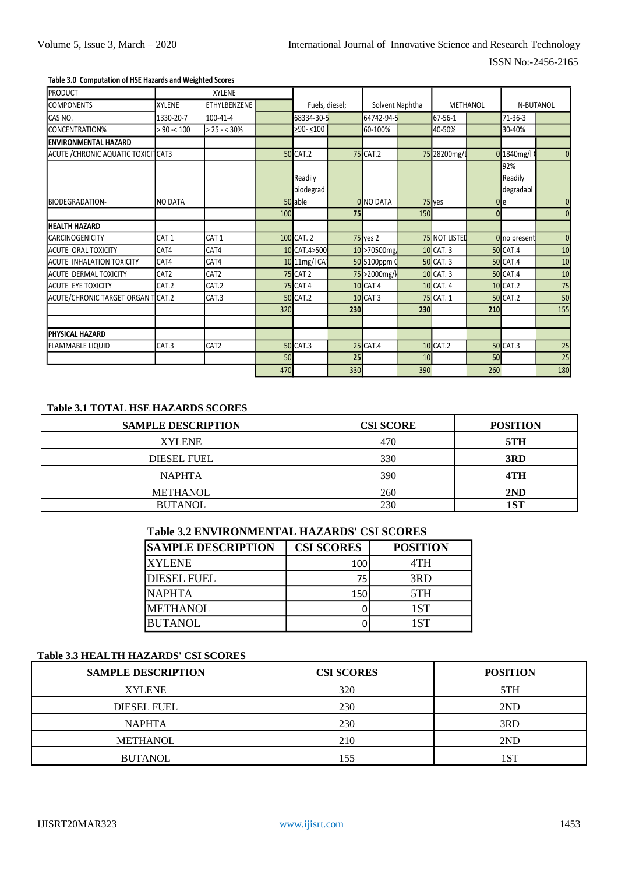#### Table 3.0 Computation of HSE Hazards and Weighted Scores

| <b>PRODUCT</b>                       |                  | <b>XYLENE</b>    |     |                      |     |                  |                 |               |     |                             |                |
|--------------------------------------|------------------|------------------|-----|----------------------|-----|------------------|-----------------|---------------|-----|-----------------------------|----------------|
| <b>COMPONENTS</b>                    | <b>XYLENE</b>    | ETHYLBENZENE     |     | Fuels, diesel;       |     |                  | Solvent Naphtha | METHANOL      |     |                             | N-BUTANOL      |
| CAS NO.                              | 1330-20-7        | 100-41-4         |     | 68334-30-5           |     | 64742-94-5       |                 | 67-56-1       |     | $71 - 36 - 3$               |                |
| CONCENTRATION%                       | > 90 < 100       | $> 25 - 30\%$    |     | $290 - 100$          |     | 60-100%          | 40-50%          |               |     | 30-40%                      |                |
| <b>IENVIRONMENTAL HAZARD</b>         |                  |                  |     |                      |     |                  |                 |               |     |                             |                |
| ACUTE / CHRONIC AQUATIC TOXICITICAT3 |                  |                  |     | <b>50 CAT.2</b>      |     | <b>75 CAT.2</b>  |                 | 75 28200mg/L  |     | 0 1840mg/l                  | $\overline{0}$ |
|                                      |                  |                  |     | Readily<br>biodegrad |     |                  |                 |               |     | 92%<br>Readily<br>degradabl |                |
| BIODEGRADATION-                      | <b>NO DATA</b>   |                  |     | 50 able              |     | <b>0</b> NO DATA |                 | 75 yes        |     | 0 <sub>l</sub>              | $\mathbf 0$    |
|                                      |                  |                  | 100 |                      | 75  |                  | 150             |               | 0   |                             | $\mathbf{0}$   |
| <b>HEALTH HAZARD</b>                 |                  |                  |     |                      |     |                  |                 |               |     |                             |                |
| <b>CARCINOGENICITY</b>               | CAT <sub>1</sub> | CAT <sub>1</sub> |     | 100 CAT. 2           |     | 75 yes 2         |                 | 75 NOT LISTED |     | 0 no present                | $\mathbf{0}$   |
| <b>ACUTE ORAL TOXICITY</b>           | CAT4             | CAT4             |     | 10 CAT.4>500         |     | 10 >70500mg      |                 | 10 CAT. 3     |     | <b>50 CAT.4</b>             | 10             |
| <b>ACUTE INHALATION TOXICITY</b>     | CAT4             | CAT4             |     | 10 11mg/l CA1        |     | 50 5100ppm 0     |                 | 50 CAT. 3     |     | <b>50 CAT.4</b>             | 10             |
| <b>ACUTE DERMAL TOXICITY</b>         | CAT <sub>2</sub> | CAT2             |     | <b>75 CAT 2</b>      |     | 75 > 2000 mg/k   |                 | 10 CAT. 3     |     | <b>50 CAT.4</b>             | 10             |
| ACUTE EYE TOXICITY                   | CAT.2            | CAT.2            |     | <b>75 CAT 4</b>      |     | <b>10 CAT 4</b>  |                 | 10 CAT. 4     |     | 10 CAT.2                    | 75             |
| ACUTE/CHRONIC TARGET ORGAN TICAT.2   |                  | CAT.3            |     | <b>50 CAT.2</b>      |     | <b>10 CAT 3</b>  |                 | 75 CAT. 1     |     | <b>50 CAT.2</b>             | 50             |
|                                      |                  |                  | 320 |                      | 230 |                  | 230             |               | 210 |                             | 155            |
|                                      |                  |                  |     |                      |     |                  |                 |               |     |                             |                |
| <b>IPHYSICAL HAZARD</b>              |                  |                  |     |                      |     |                  |                 |               |     |                             |                |
| <b>IFLAMMABLE LIQUID</b>             | CAT.3            | CAT <sub>2</sub> |     | <b>50 CAT.3</b>      |     | 25 CAT.4         |                 | 10 CAT.2      |     | <b>50 CAT.3</b>             | 25             |
|                                      |                  |                  | 50  |                      | 25  |                  | 10              |               | 50  |                             | 25             |
|                                      |                  |                  | 470 |                      | 330 |                  | 390             |               | 260 |                             | 180            |

# Table 3.1 TOTAL HSE HAZARDS SCORES

| <b>SAMPLE DESCRIPTION</b> | <b>CSI SCORE</b> | <b>POSITION</b> |
|---------------------------|------------------|-----------------|
| <b>XYLENE</b>             | 470              | 5TH             |
| <b>DIESEL FUEL</b>        | 330              | 3RD             |
| <b>NAPHTA</b>             | 390              | 4TH             |
| <b>METHANOL</b>           | 260              | 2ND             |
| <b>BUTANOL</b>            | 230              | 1ST             |

# **Table 3.2 ENVIRONMENTAL HAZARDS' CSI SCORES**

| <b>SAMPLE DESCRIPTION</b> | <b>CSI SCORES</b> | <b>POSITION</b> |
|---------------------------|-------------------|-----------------|
| <b>XYLENE</b>             | 100               | 4TH             |
| <b>DIESEL FUEL</b>        | 75                | 3RD             |
| <b>NAPHTA</b>             | 150               | 5TH             |
| <b>METHANOL</b>           |                   | 1ST             |
| <b>BUTANOL</b>            |                   | 1ST             |

# Table 3.3 HEALTH HAZARDS' CSI SCORES

| <b>SAMPLE DESCRIPTION</b> | <b>CSI SCORES</b> | <b>POSITION</b> |
|---------------------------|-------------------|-----------------|
| <b>XYLENE</b>             | 320               | 5TH             |
| <b>DIESEL FUEL</b>        | 230               | 2ND             |
| <b>NAPHTA</b>             | 230               | 3RD             |
| <b>METHANOL</b>           | 210               | 2ND             |
| <b>BUTANOL</b>            | 155               | 1ST             |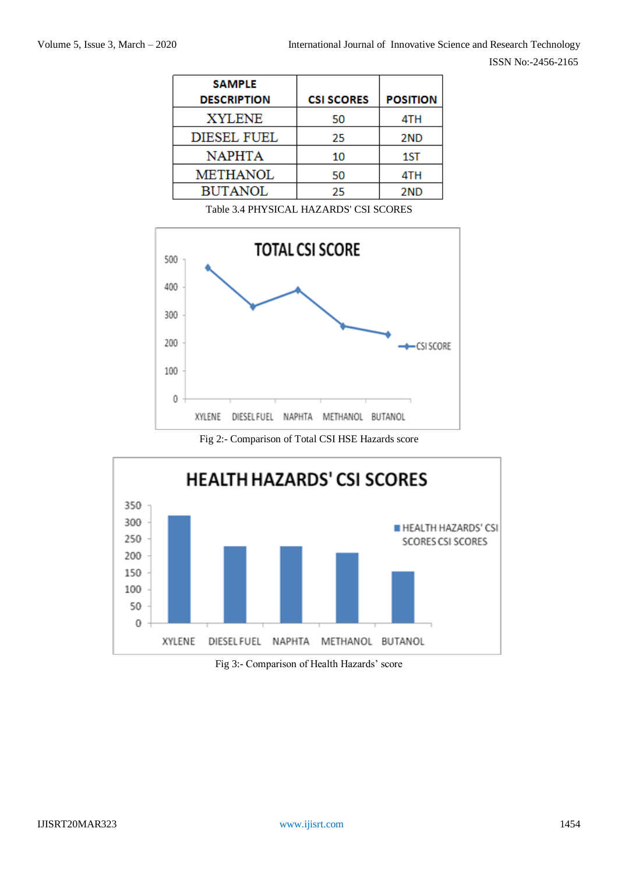| <b>SAMPLE</b>      |                   |                 |
|--------------------|-------------------|-----------------|
| <b>DESCRIPTION</b> | <b>CSI SCORES</b> | <b>POSITION</b> |
| <b>XYLENE</b>      | 50                | 4TH             |
| <b>DIESEL FUEL</b> | 25                | 2ND             |
| <b>NAPHTA</b>      | 10                | 1ST             |
| <b>METHANOL</b>    | 50                | 4TH             |
| <b>BUTANOL</b>     | 25                | 2ND             |

Table 3.4 PHYSICAL HAZARDS' CSI SCORES



Fig 2:- Comparison of Total CSI HSE Hazards score



Fig 3:- Comparison of Health Hazards' score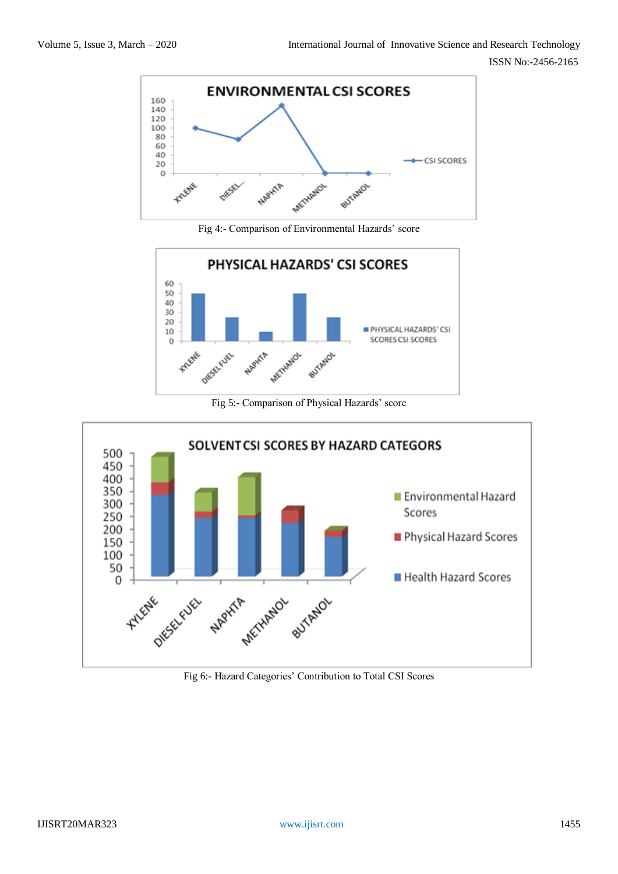

Fig 4:- Comparison of Environmental Hazards' score



Fig 5:- Comparison of Physical Hazards' score



Fig 6:- Hazard Categories' Contribution to Total CSI Scores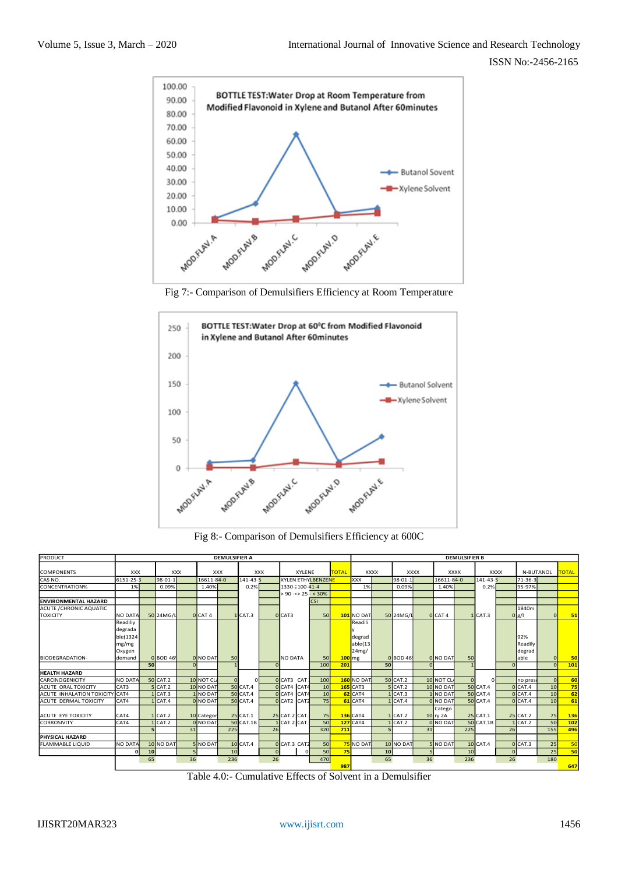

Fig 7:- Comparison of Demulsifiers Efficiency at Room Temperature



Fig 8:- Comparison of Demulsifiers Efficiency at 600C

| PRODUCT                                  |                                                    |    |                |            |                        | <b>DEMULSIFIER A</b> |                       |            |                               |                 |              | <b>DEMULSIFIER B</b>                   |    |                  |             |                                       |             |                       |             |                          |           |              |
|------------------------------------------|----------------------------------------------------|----|----------------|------------|------------------------|----------------------|-----------------------|------------|-------------------------------|-----------------|--------------|----------------------------------------|----|------------------|-------------|---------------------------------------|-------------|-----------------------|-------------|--------------------------|-----------|--------------|
| <b>COMPONENTS</b>                        | <b>XXX</b>                                         |    |                | <b>XXX</b> |                        | <b>XXX</b>           |                       | <b>XXX</b> | <b>XYLENE</b>                 |                 | <b>TOTAL</b> | <b>XXXX</b>                            |    |                  | <b>XXXX</b> |                                       | <b>XXXX</b> |                       | <b>XXXX</b> |                          | N-BUTANOL | <b>TOTAL</b> |
| CAS NO.                                  | 6151-25-3                                          |    | 98-01-1        |            | 16611-84-0             |                      | 141-43-5              |            | <b>XYLEN ETHYLBENZENE</b>     |                 |              | <b>XXX</b>                             |    | $98 - 01 - 1$    | 16611-84-0  |                                       |             | 141-43-5              |             | 71-36-3                  |           |              |
| CONCENTRATION%                           | 1%                                                 |    | 0.09%          |            | 1.40%                  |                      | 0.2%                  |            | 1330-7100-41-4                |                 |              | 1%                                     |    | 0.09%            |             | 1.40%                                 |             | 0.2%                  |             | 95-97%                   |           |              |
|                                          |                                                    |    |                |            |                        |                      |                       |            | $> 90 \times 25 - 30\%$       |                 |              |                                        |    |                  |             |                                       |             |                       |             |                          |           |              |
| <b>ENVIRONMENTAL HAZARD</b>              |                                                    |    |                |            |                        |                      |                       |            |                               | <b>CSI</b>      |              |                                        |    |                  |             |                                       |             |                       |             |                          |           |              |
| <b>ACUTE / CHRONIC AQUATIC</b>           |                                                    |    |                |            |                        |                      |                       |            |                               |                 |              |                                        |    |                  |             |                                       |             |                       |             | 1840m                    |           |              |
| <b>TOXICITY</b>                          | <b>NO DATA</b>                                     |    | 50 24MG/L      |            | O CAT 4                |                      | $1$ CAT. $3$          |            | O CAT3                        | <b>50</b>       |              | <b>101</b> NO DAT                      |    | 50 24MG/L        |             | 0 CAT 4                               |             | 1 CAT.3               |             | 0 <sub>g</sub> /l        | $\Omega$  | 51           |
|                                          | Readiliy<br>degrada<br>ble(1324<br>mg/mg<br>Oxygen |    |                |            |                        |                      |                       |            |                               |                 |              | Readili<br>degrad<br>able(13)<br>24mg/ |    |                  |             |                                       |             |                       |             | 92%<br>Readily<br>degrad |           |              |
| <b>BIODEGRADATION-</b>                   | ldemand                                            |    | 0 BOD 46       |            | <b>O</b> NO DAT        | 50                   |                       |            | <b>NO DATA</b>                | <b>50</b>       | 100 mg       |                                        |    | 0 BOD 46         |             | <b>O</b> NO DAT                       | 50          |                       |             | able                     | $\Omega$  | 50           |
|                                          |                                                    | 50 |                |            |                        |                      |                       |            |                               | 100             | 201          |                                        | 50 |                  |             |                                       |             |                       |             |                          | $\Omega$  | 101          |
| <b>HEALTH HAZARD</b>                     |                                                    |    |                |            |                        |                      |                       |            |                               |                 |              |                                        |    |                  |             |                                       |             |                       |             |                          |           |              |
| <b>CARCINOGENICITY</b>                   | <b>NO DATA</b>                                     |    | 50 CAT.2       |            | 10 NOT CL              |                      |                       |            | O CAT3 CAT                    | 100             |              | 160 NO DAT                             |    | 50 CAT.2         |             | 10 NOT CL                             |             |                       |             | no prese                 | $\Omega$  | 60           |
| <b>ACUTE ORAL TOXICITY</b>               | CAT3                                               |    | $5$ $CAT.2$    |            | 10 NO DAT              |                      | <b>50 CAT.4</b>       |            | O CAT4 CAT4                   | 10              |              | <b>165</b> CAT3                        |    | <b>5 CAT.2</b>   |             | 10 NO DAT                             |             | <b>50 CAT.4</b>       |             | O <sub>CAT.4</sub>       | 10        | 75           |
| ACUTE INHALATION TOXICIT                 | <b>ICAT4</b>                                       |    | CAT.3          |            | 1 NO DAT               |                      | <b>50 CAT.4</b>       |            | O CAT4 CAT4                   | 10 <sup>1</sup> |              | 62 CAT4                                |    | $1$ CAT.3        |             | 1 NO DAT                              |             | <b>50 CAT.4</b>       |             | O <sub>CAT.4</sub>       | 10        | 62           |
| ACUTE DERMAL TOXICITY                    | CAT4                                               |    | CAT.4          |            | <b>O</b> NO DAT        |                      | <b>50 CAT.4</b>       |            | O CAT2 CAT2                   | 75              |              | $61$ CAT4                              |    | $1$ CAT. $4$     |             | <b>O</b> NO DAT                       |             | <b>50 CAT.4</b>       |             | O <sub>CAT.4</sub>       | 10        | 61           |
| ACUTE EYE TOXICITY<br><b>CORROSIVITY</b> | CAT4<br>CAT4                                       |    | CAT.2<br>CAT.2 |            | 10 Categor<br>0 NO DAT |                      | 25 CAT.1<br>50 CAT.1B |            | 25 CAT.2 CAT.<br>1 CAT.2 CAT. | 75<br>50        |              | <b>136</b> CAT4<br><b>127</b> CAT4     |    | 1 CAT.2<br>CAT.2 |             | Catego<br>10 ry 2A<br><b>O</b> NO DAT |             | 25 CAT.1<br>50 CAT.1B |             | 25 CAT.2<br>$1$ CAT.2    | 75<br>50  | 136<br>102   |
|                                          |                                                    |    |                | 31         |                        | 225                  |                       | 26         |                               | 320             | 711          |                                        |    |                  | 31          |                                       | 225         |                       | 26          |                          | 155       | 496          |
| PHYSICAL HAZARD                          |                                                    |    |                |            |                        |                      |                       |            |                               |                 |              |                                        |    |                  |             |                                       |             |                       |             |                          |           |              |
| <b>FLAMMABLE LIQUID</b>                  | NO DATA                                            |    | 10 NO DAT      |            | 5 NO DAT               |                      | 10 CAT.4              |            | O CAT.3 CAT2                  | 50              |              | NO DAT                                 |    | 10 NO DAT        |             | <b>5</b> NO DAT                       |             | 10 CAT.4              |             | O <sub>CAT.3</sub>       | 25        | 50           |
|                                          | $\Omega$                                           | 10 |                |            |                        | 10                   |                       |            |                               | 50              | 75           |                                        | 10 |                  |             |                                       | 10          |                       |             |                          | 25        | 50           |
|                                          | 36<br>26<br>65<br>236                              |    |                |            |                        |                      |                       | 470        | 987                           |                 | 65           |                                        | 36 |                  | 236         |                                       | 26          |                       | 180         | 647                      |           |              |

Table 4.0:- Cumulative Effects of Solvent in a Demulsifier